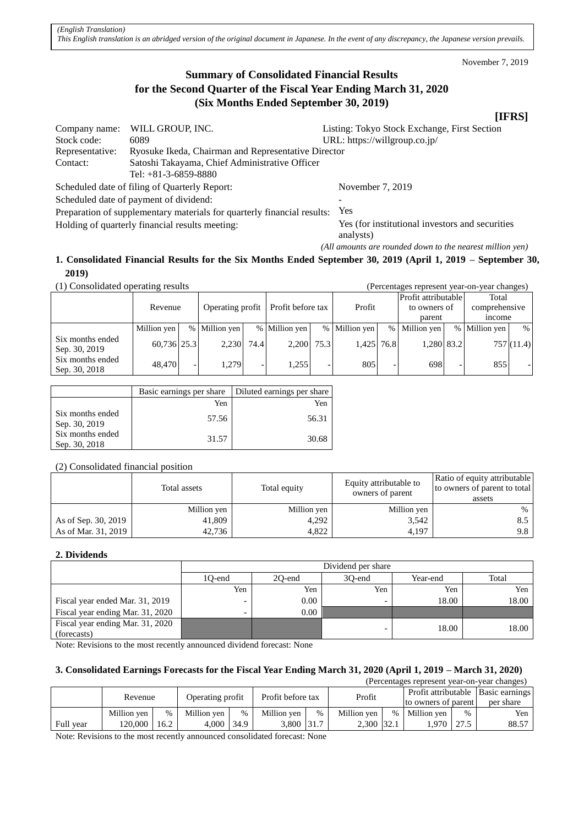November 7, 2019

# **Summary of Consolidated Financial Results for the Second Quarter of the Fiscal Year Ending March 31, 2020 (Six Months Ended September 30, 2019)**

### **[IFRS]**

| Company name:                                   | WILL GROUP, INC.                                                        | Listing: Tokyo Stock Exchange, First Section                  |  |  |  |
|-------------------------------------------------|-------------------------------------------------------------------------|---------------------------------------------------------------|--|--|--|
| Stock code:                                     | 6089                                                                    | URL: https://willgroup.co.jp/                                 |  |  |  |
| Representative:                                 | Ryosuke Ikeda, Chairman and Representative Director                     |                                                               |  |  |  |
| Contact:                                        | Satoshi Takayama, Chief Administrative Officer                          |                                                               |  |  |  |
|                                                 | Tel: $+81-3-6859-8880$                                                  |                                                               |  |  |  |
|                                                 | Scheduled date of filing of Quarterly Report:                           | November 7, 2019                                              |  |  |  |
|                                                 | Scheduled date of payment of dividend:                                  |                                                               |  |  |  |
|                                                 | Preparation of supplementary materials for quarterly financial results: | <b>Yes</b>                                                    |  |  |  |
| Holding of quarterly financial results meeting: |                                                                         | Yes (for institutional investors and securities)<br>analysts) |  |  |  |
|                                                 |                                                                         | (All amounts are rounded down to the nearest million yen)     |  |  |  |

# **1. Consolidated Financial Results for the Six Months Ended September 30, 2019 (April 1, 2019 – September 30, 2019)**

(1) Consolidated operating results (Percentages represent year-on-year changes)

| (1) Consondated operating results<br>(I Citchiages represent year-on-year changes) |             |  |                  |      |                   |        |               |                                     |               |               |               |           |
|------------------------------------------------------------------------------------|-------------|--|------------------|------|-------------------|--------|---------------|-------------------------------------|---------------|---------------|---------------|-----------|
|                                                                                    | Revenue     |  |                  |      |                   | Profit |               | Profit attributable<br>to owners of |               | Total         |               |           |
|                                                                                    |             |  | Operating profit |      | Profit before tax |        |               |                                     |               | comprehensive |               |           |
|                                                                                    |             |  |                  |      |                   |        |               |                                     | parent        |               | <i>n</i> come |           |
|                                                                                    | Million yen |  | % Million yen    |      | % Million yen     |        | % Million yen |                                     | % Million yen |               | % Million yen | %         |
| Six months ended<br>Sep. 30, 2019                                                  | 60,736 25.3 |  | 2,230            | 74.4 | 2.200             | 75.3   | 1,425 76.8    |                                     | 1,280 83.2    |               |               | 757(11.4) |
| Six months ended<br>Sep. 30, 2018                                                  | 48,470      |  | 1.279            |      | 1.255             |        | 805           |                                     | 698           |               | 855           |           |

|                                   | Basic earnings per share | Diluted earnings per share |
|-----------------------------------|--------------------------|----------------------------|
|                                   | Yen                      | Yen                        |
| Six months ended<br>Sep. 30, 2019 | 57.56                    | 56.31                      |
| Six months ended<br>Sep. 30, 2018 | 31.57                    | 30.68                      |

(2) Consolidated financial position

|                     | Total assets | Total equity | Equity attributable to<br>owners of parent | Ratio of equity attributable<br>to owners of parent to total<br>assets |  |
|---------------------|--------------|--------------|--------------------------------------------|------------------------------------------------------------------------|--|
|                     | Million yen  | Million yen  | Million yen                                | %                                                                      |  |
| As of Sep. 30, 2019 | 41,809       | 4,292        | 3,542                                      | 8.5                                                                    |  |
| As of Mar. 31, 2019 | 42,736       | 4,822        | 4,197                                      | 9.8                                                                    |  |

#### **2. Dividends**

|                                  |                          | Dividend per share |        |          |       |  |  |  |  |  |
|----------------------------------|--------------------------|--------------------|--------|----------|-------|--|--|--|--|--|
|                                  | 10-end                   | 20-end             | 30-end | Year-end | Total |  |  |  |  |  |
|                                  | Yen                      | Yen                | Yen    | Yen      | Yen   |  |  |  |  |  |
| Fiscal year ended Mar. 31, 2019  | $\overline{\phantom{0}}$ | $0.00\,$           |        | 18.00    | 18.00 |  |  |  |  |  |
| Fiscal year ending Mar. 31, 2020 | $\overline{\phantom{0}}$ | 0.00               |        |          |       |  |  |  |  |  |
| Fiscal year ending Mar. 31, 2020 |                          |                    |        | 18.00    | 18.00 |  |  |  |  |  |
| (forecasts)                      |                          |                    |        |          |       |  |  |  |  |  |

Note: Revisions to the most recently announced dividend forecast: None

## **3. Consolidated Earnings Forecasts for the Fiscal Year Ending March 31, 2020 (April 1, 2019 – March 31, 2020)**

|           |             |      |                  |   |                   |               |             |      | (Percentages represent year-on-year changes) |      |           |
|-----------|-------------|------|------------------|---|-------------------|---------------|-------------|------|----------------------------------------------|------|-----------|
|           | Revenue     |      | Operating profit |   | Profit before tax |               | Profit      |      | Profit attributable   Basic earnings         |      |           |
|           |             |      |                  |   |                   |               |             |      | to owners of parent                          |      | per share |
|           | Million ven | $\%$ | Million ven      | % | Million ven       | $\frac{0}{0}$ | Million ven | $\%$ | Million ven                                  | $\%$ | Yen       |
| Full year | 120.000     | 16.2 | $4,000$   34.9   |   | 3.800 31.7        |               | 2,300 32.1  |      | .970                                         | 27.5 | 88.57     |

Note: Revisions to the most recently announced consolidated forecast: None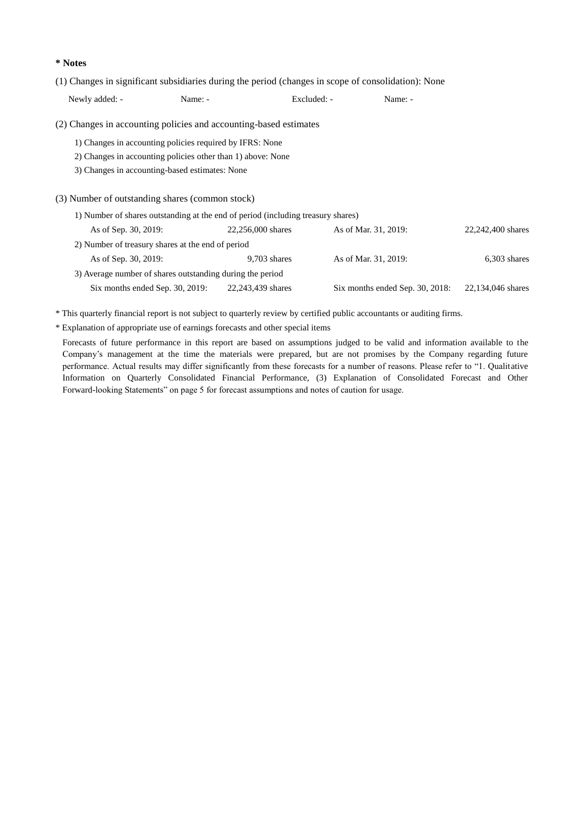**\* Notes**

(1) Changes in significant subsidiaries during the period (changes in scope of consolidation): None

| Newly added: -       | Name: -                                                                          | Excluded: -       | Name: -              |                   |
|----------------------|----------------------------------------------------------------------------------|-------------------|----------------------|-------------------|
|                      | (2) Changes in accounting policies and accounting-based estimates                |                   |                      |                   |
|                      | 1) Changes in accounting policies required by IFRS: None                         |                   |                      |                   |
|                      | 2) Changes in accounting policies other than 1) above: None                      |                   |                      |                   |
|                      | 3) Changes in accounting-based estimates: None                                   |                   |                      |                   |
|                      |                                                                                  |                   |                      |                   |
|                      | (3) Number of outstanding shares (common stock)                                  |                   |                      |                   |
|                      | 1) Number of shares outstanding at the end of period (including treasury shares) |                   |                      |                   |
| As of Sep. 30, 2019: |                                                                                  | 22,256,000 shares | As of Mar. 31, 2019: | 22,242,400 shares |
|                      | 2) Number of treasury shares at the end of period                                |                   |                      |                   |
| As of Sep. 30, 2019: |                                                                                  | $9,703$ shares    | As of Mar. 31, 2019: | $6,303$ shares    |
|                      | 3) Average number of shares outstanding during the period                        |                   |                      |                   |

Six months ended Sep. 30, 2019: 22,243,439 shares Six months ended Sep. 30, 2018: 22,134,046 shares

\* This quarterly financial report is not subject to quarterly review by certified public accountants or auditing firms.

\* Explanation of appropriate use of earnings forecasts and other special items

Forecasts of future performance in this report are based on assumptions judged to be valid and information available to the Company's management at the time the materials were prepared, but are not promises by the Company regarding future performance. Actual results may differ significantly from these forecasts for a number of reasons. Please refer to "1. Qualitative Information on Quarterly Consolidated Financial Performance, (3) Explanation of Consolidated Forecast and Other Forward-looking Statements" on page 5 for forecast assumptions and notes of caution for usage.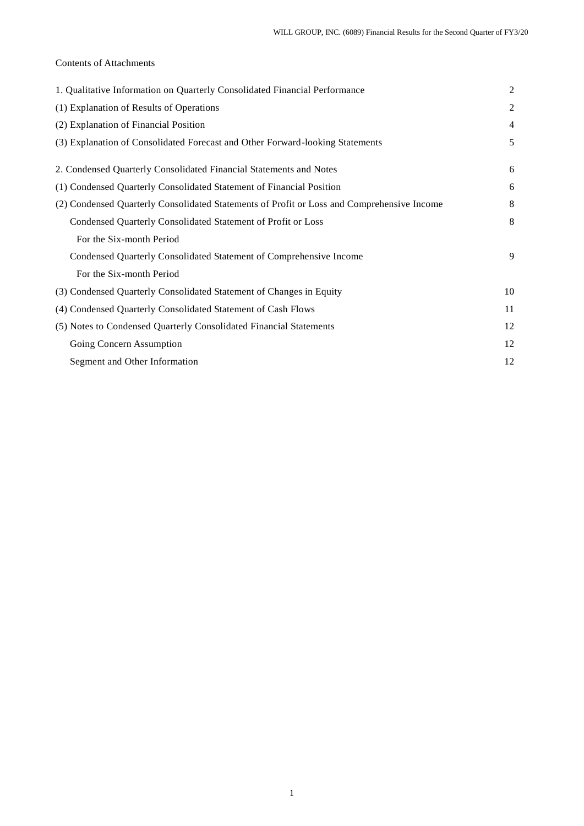## Contents of Attachments

| 1. Qualitative Information on Quarterly Consolidated Financial Performance                 | $\overline{2}$ |
|--------------------------------------------------------------------------------------------|----------------|
| (1) Explanation of Results of Operations                                                   | 2              |
| (2) Explanation of Financial Position                                                      | $\overline{4}$ |
| (3) Explanation of Consolidated Forecast and Other Forward-looking Statements              | 5              |
| 2. Condensed Quarterly Consolidated Financial Statements and Notes                         | 6              |
| (1) Condensed Quarterly Consolidated Statement of Financial Position                       | 6              |
| (2) Condensed Quarterly Consolidated Statements of Profit or Loss and Comprehensive Income | 8              |
| Condensed Quarterly Consolidated Statement of Profit or Loss                               | 8              |
| For the Six-month Period                                                                   |                |
| Condensed Quarterly Consolidated Statement of Comprehensive Income                         | 9              |
| For the Six-month Period                                                                   |                |
| (3) Condensed Quarterly Consolidated Statement of Changes in Equity                        | 10             |
| (4) Condensed Quarterly Consolidated Statement of Cash Flows                               | 11             |
| (5) Notes to Condensed Quarterly Consolidated Financial Statements                         | 12             |
| Going Concern Assumption                                                                   | 12             |
| Segment and Other Information                                                              | 12             |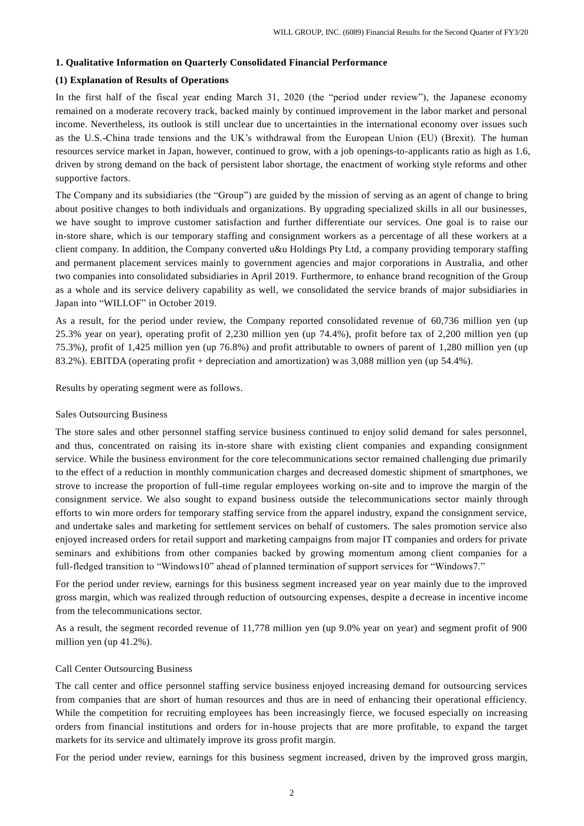#### **1. Qualitative Information on Quarterly Consolidated Financial Performance**

### **(1) Explanation of Results of Operations**

In the first half of the fiscal year ending March 31, 2020 (the "period under review"), the Japanese economy remained on a moderate recovery track, backed mainly by continued improvement in the labor market and personal income. Nevertheless, its outlook is still unclear due to uncertainties in the international economy over issues such as the U.S.-China trade tensions and the UK's withdrawal from the European Union (EU) (Brexit). The human resources service market in Japan, however, continued to grow, with a job openings-to-applicants ratio as high as 1.6, driven by strong demand on the back of persistent labor shortage, the enactment of working style reforms and other supportive factors.

The Company and its subsidiaries (the "Group") are guided by the mission of serving as an agent of change to bring about positive changes to both individuals and organizations. By upgrading specialized skills in all our businesses, we have sought to improve customer satisfaction and further differentiate our services. One goal is to raise our in-store share, which is our temporary staffing and consignment workers as a percentage of all these workers at a client company. In addition, the Company converted u&u Holdings Pty Ltd, a company providing temporary staffing and permanent placement services mainly to government agencies and major corporations in Australia, and other two companies into consolidated subsidiaries in April 2019. Furthermore, to enhance brand recognition of the Group as a whole and its service delivery capability as well, we consolidated the service brands of major subsidiaries in Japan into "WILLOF" in October 2019.

As a result, for the period under review, the Company reported consolidated revenue of 60,736 million yen (up 25.3% year on year), operating profit of 2,230 million yen (up 74.4%), profit before tax of 2,200 million yen (up 75.3%), profit of 1,425 million yen (up 76.8%) and profit attributable to owners of parent of 1,280 million yen (up 83.2%). EBITDA (operating profit + depreciation and amortization) was 3,088 million yen (up 54.4%).

Results by operating segment were as follows.

#### Sales Outsourcing Business

The store sales and other personnel staffing service business continued to enjoy solid demand for sales personnel, and thus, concentrated on raising its in-store share with existing client companies and expanding consignment service. While the business environment for the core telecommunications sector remained challenging due primarily to the effect of a reduction in monthly communication charges and decreased domestic shipment of smartphones, we strove to increase the proportion of full-time regular employees working on-site and to improve the margin of the consignment service. We also sought to expand business outside the telecommunications sector mainly through efforts to win more orders for temporary staffing service from the apparel industry, expand the consignment service, and undertake sales and marketing for settlement services on behalf of customers. The sales promotion service also enjoyed increased orders for retail support and marketing campaigns from major IT companies and orders for private seminars and exhibitions from other companies backed by growing momentum among client companies for a full-fledged transition to "Windows10" ahead of planned termination of support services for "Windows7."

For the period under review, earnings for this business segment increased year on year mainly due to the improved gross margin, which was realized through reduction of outsourcing expenses, despite a decrease in incentive income from the telecommunications sector.

As a result, the segment recorded revenue of 11,778 million yen (up 9.0% year on year) and segment profit of 900 million yen (up 41.2%).

#### Call Center Outsourcing Business

The call center and office personnel staffing service business enjoyed increasing demand for outsourcing services from companies that are short of human resources and thus are in need of enhancing their operational efficiency. While the competition for recruiting employees has been increasingly fierce, we focused especially on increasing orders from financial institutions and orders for in-house projects that are more profitable, to expand the target markets for its service and ultimately improve its gross profit margin.

For the period under review, earnings for this business segment increased, driven by the improved gross margin,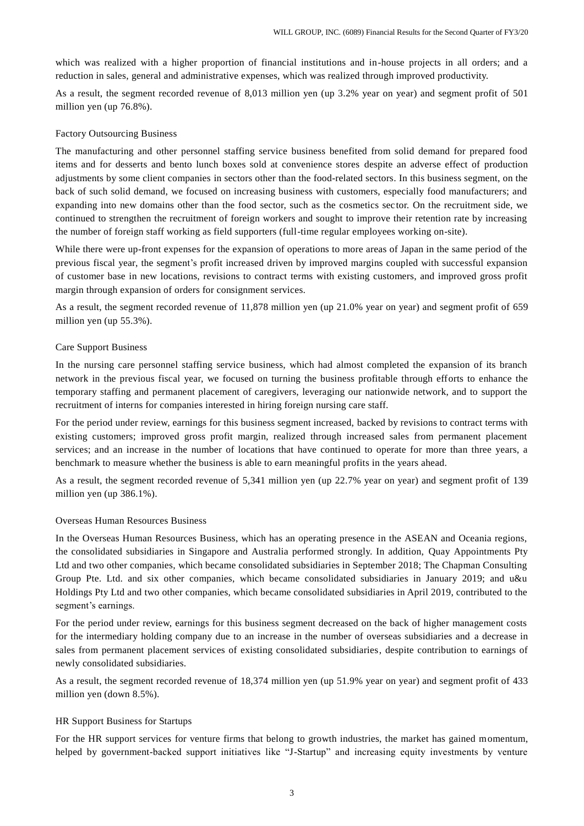which was realized with a higher proportion of financial institutions and in-house projects in all orders; and a reduction in sales, general and administrative expenses, which was realized through improved productivity.

As a result, the segment recorded revenue of 8,013 million yen (up 3.2% year on year) and segment profit of 501 million yen (up 76.8%).

#### Factory Outsourcing Business

The manufacturing and other personnel staffing service business benefited from solid demand for prepared food items and for desserts and bento lunch boxes sold at convenience stores despite an adverse effect of production adjustments by some client companies in sectors other than the food-related sectors. In this business segment, on the back of such solid demand, we focused on increasing business with customers, especially food manufacturers; and expanding into new domains other than the food sector, such as the cosmetics sec tor. On the recruitment side, we continued to strengthen the recruitment of foreign workers and sought to improve their retention rate by increasing the number of foreign staff working as field supporters (full-time regular employees working on-site).

While there were up-front expenses for the expansion of operations to more areas of Japan in the same period of the previous fiscal year, the segment's profit increased driven by improved margins coupled with successful expansion of customer base in new locations, revisions to contract terms with existing customers, and improved gross profit margin through expansion of orders for consignment services.

As a result, the segment recorded revenue of 11,878 million yen (up 21.0% year on year) and segment profit of 659 million yen (up 55.3%).

#### Care Support Business

In the nursing care personnel staffing service business, which had almost completed the expansion of its branch network in the previous fiscal year, we focused on turning the business profitable through efforts to enhance the temporary staffing and permanent placement of caregivers, leveraging our nationwide network, and to support the recruitment of interns for companies interested in hiring foreign nursing care staff.

For the period under review, earnings for this business segment increased, backed by revisions to contract terms with existing customers; improved gross profit margin, realized through increased sales from permanent placement services; and an increase in the number of locations that have continued to operate for more than three years, a benchmark to measure whether the business is able to earn meaningful profits in the years ahead.

As a result, the segment recorded revenue of 5,341 million yen (up 22.7% year on year) and segment profit of 139 million yen (up 386.1%).

#### Overseas Human Resources Business

In the Overseas Human Resources Business, which has an operating presence in the ASEAN and Oceania regions, the consolidated subsidiaries in Singapore and Australia performed strongly. In addition, Quay Appointments Pty Ltd and two other companies, which became consolidated subsidiaries in September 2018; The Chapman Consulting Group Pte. Ltd. and six other companies, which became consolidated subsidiaries in January 2019; and u&u Holdings Pty Ltd and two other companies, which became consolidated subsidiaries in April 2019, contributed to the segment's earnings.

For the period under review, earnings for this business segment decreased on the back of higher management costs for the intermediary holding company due to an increase in the number of overseas subsidiaries and a decrease in sales from permanent placement services of existing consolidated subsidiaries, despite contribution to earnings of newly consolidated subsidiaries.

As a result, the segment recorded revenue of 18,374 million yen (up 51.9% year on year) and segment profit of 433 million yen (down 8.5%).

#### HR Support Business for Startups

For the HR support services for venture firms that belong to growth industries, the market has gained momentum, helped by government-backed support initiatives like "J-Startup" and increasing equity investments by venture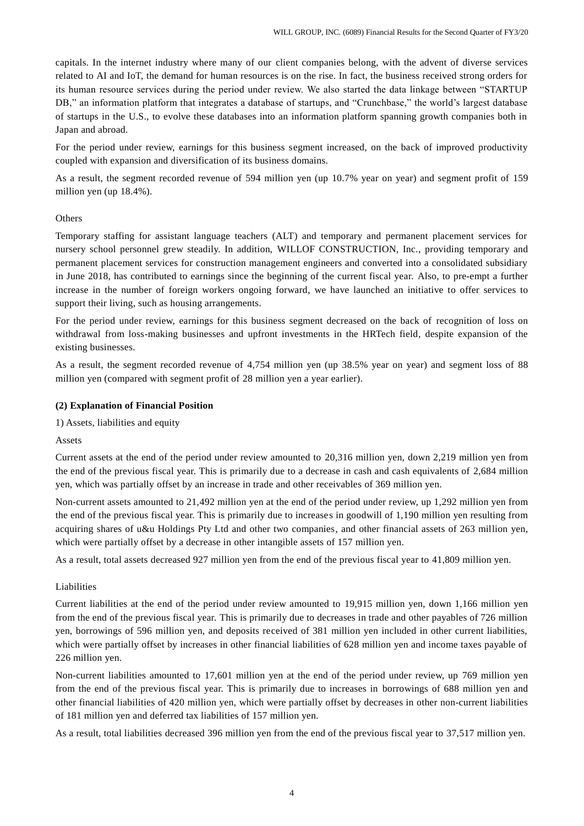capitals. In the internet industry where many of our client companies belong, with the advent of diverse services related to AI and IoT, the demand for human resources is on the rise. In fact, the business received strong orders for its human resource services during the period under review. We also started the data linkage between "STARTUP DB," an information platform that integrates a database of startups, and "Crunchbase," the world's largest database of startups in the U.S., to evolve these databases into an information platform spanning growth companies both in Japan and abroad.

For the period under review, earnings for this business segment increased, on the back of improved productivity coupled with expansion and diversification of its business domains.

As a result, the segment recorded revenue of 594 million yen (up 10.7% year on year) and segment profit of 159 million yen (up 18.4%).

#### **Others**

Temporary staffing for assistant language teachers (ALT) and temporary and permanent placement services for nursery school personnel grew steadily. In addition, WILLOF CONSTRUCTION, Inc., providing temporary and permanent placement services for construction management engineers and converted into a consolidated subsidiary in June 2018, has contributed to earnings since the beginning of the current fiscal year. Also, to pre-empt a further increase in the number of foreign workers ongoing forward, we have launched an initiative to offer services to support their living, such as housing arrangements.

For the period under review, earnings for this business segment decreased on the back of recognition of loss on withdrawal from loss-making businesses and upfront investments in the HRTech field, despite expansion of the existing businesses.

As a result, the segment recorded revenue of 4,754 million yen (up 38.5% year on year) and segment loss of 88 million yen (compared with segment profit of 28 million yen a year earlier).

#### **(2) Explanation of Financial Position**

1) Assets, liabilities and equity

Assets

Current assets at the end of the period under review amounted to 20,316 million yen, down 2,219 million yen from the end of the previous fiscal year. This is primarily due to a decrease in cash and cash equivalents of 2,684 million yen, which was partially offset by an increase in trade and other receivables of 369 million yen.

Non-current assets amounted to 21,492 million yen at the end of the period under review, up 1,292 million yen from the end of the previous fiscal year. This is primarily due to increases in goodwill of 1,190 million yen resulting from acquiring shares of u&u Holdings Pty Ltd and other two companies, and other financial assets of 263 million yen, which were partially offset by a decrease in other intangible assets of 157 million yen.

As a result, total assets decreased 927 million yen from the end of the previous fiscal year to 41,809 million yen.

#### Liabilities

Current liabilities at the end of the period under review amounted to 19,915 million yen, down 1,166 million yen from the end of the previous fiscal year. This is primarily due to decreases in trade and other payables of 726 million yen, borrowings of 596 million yen, and deposits received of 381 million yen included in other current liabilities, which were partially offset by increases in other financial liabilities of 628 million yen and income taxes payable of 226 million yen.

Non-current liabilities amounted to 17,601 million yen at the end of the period under review, up 769 million yen from the end of the previous fiscal year. This is primarily due to increases in borrowings of 688 million yen and other financial liabilities of 420 million yen, which were partially offset by decreases in other non-current liabilities of 181 million yen and deferred tax liabilities of 157 million yen.

As a result, total liabilities decreased 396 million yen from the end of the previous fiscal year to 37,517 million yen.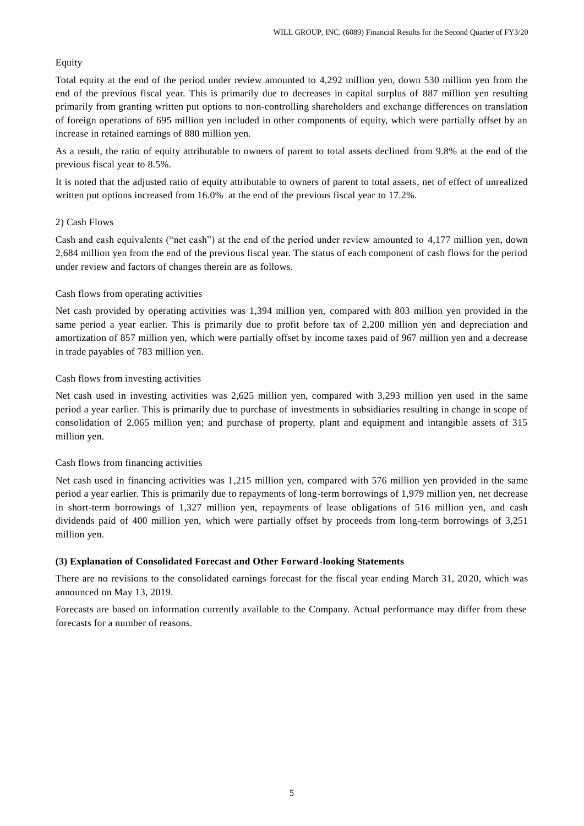### **Equity**

Total equity at the end of the period under review amounted to 4,292 million yen, down 530 million yen from the end of the previous fiscal year. This is primarily due to decreases in capital surplus of 887 million yen resulting primarily from granting written put options to non-controlling shareholders and exchange differences on translation of foreign operations of 695 million yen included in other components of equity, which were partially offset by an increase in retained earnings of 880 million yen.

As a result, the ratio of equity attributable to owners of parent to total assets declined from 9.8% at the end of the previous fiscal year to 8.5%.

It is noted that the adjusted ratio of equity attributable to owners of parent to total assets, net of effect of unrealized written put options increased from 16.0% at the end of the previous fiscal year to 17.2%.

#### 2) Cash Flows

Cash and cash equivalents ("net cash") at the end of the period under review amounted to 4,177 million yen, down 2,684 million yen from the end of the previous fiscal year. The status of each component of cash flows for the period under review and factors of changes therein are as follows.

### Cash flows from operating activities

Net cash provided by operating activities was 1,394 million yen, compared with 803 million yen provided in the same period a year earlier. This is primarily due to profit before tax of 2,200 million yen and depreciation and amortization of 857 million yen, which were partially offset by income taxes paid of 967 million yen and a decrease in trade payables of 783 million yen.

#### Cash flows from investing activities

Net cash used in investing activities was 2,625 million yen, compared with 3,293 million yen used in the same period a year earlier. This is primarily due to purchase of investments in subsidiaries resulting in change in scope of consolidation of 2,065 million yen; and purchase of property, plant and equipment and intangible assets of 315 million yen.

#### Cash flows from financing activities

Net cash used in financing activities was 1,215 million yen, compared with 576 million yen provided in the same period a year earlier. This is primarily due to repayments of long-term borrowings of 1,979 million yen, net decrease in short-term borrowings of 1,327 million yen, repayments of lease obligations of 516 million yen, and cash dividends paid of 400 million yen, which were partially offset by proceeds from long-term borrowings of 3,251 million yen.

#### **(3) Explanation of Consolidated Forecast and Other Forward-looking Statements**

There are no revisions to the consolidated earnings forecast for the fiscal year ending March 31, 2020, which was announced on May 13, 2019.

Forecasts are based on information currently available to the Company. Actual performance may differ from these forecasts for a number of reasons.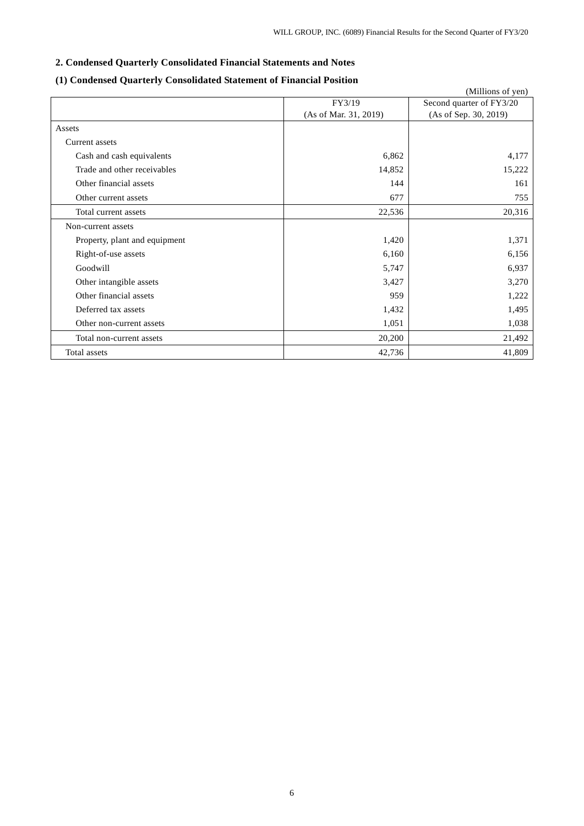### **2. Condensed Quarterly Consolidated Financial Statements and Notes**

# (Millions of yen) FY3/19 (As of Mar. 31, 2019) Second quarter of FY3/20 (As of Sep. 30, 2019) Assets Current assets Cash and cash equivalents  $6,862$   $4,177$ Trade and other receivables 15,222 15,222 Other financial assets 161 Other current assets 677 and 1555 755 Total current assets 20,316 Non-current assets Property, plant and equipment 1,420 1,371 Right-of-use assets  $6,156$  6,156 Goodwill  $5,747$  6,937 Other intangible assets 3,427 3,427 Other financial assets 1,222 Deferred tax assets  $1,495$ Other non-current assets 1,051 1,038 Total non-current assets 20,200 21,492 Total assets  $42,736$   $41,809$

## **(1) Condensed Quarterly Consolidated Statement of Financial Position**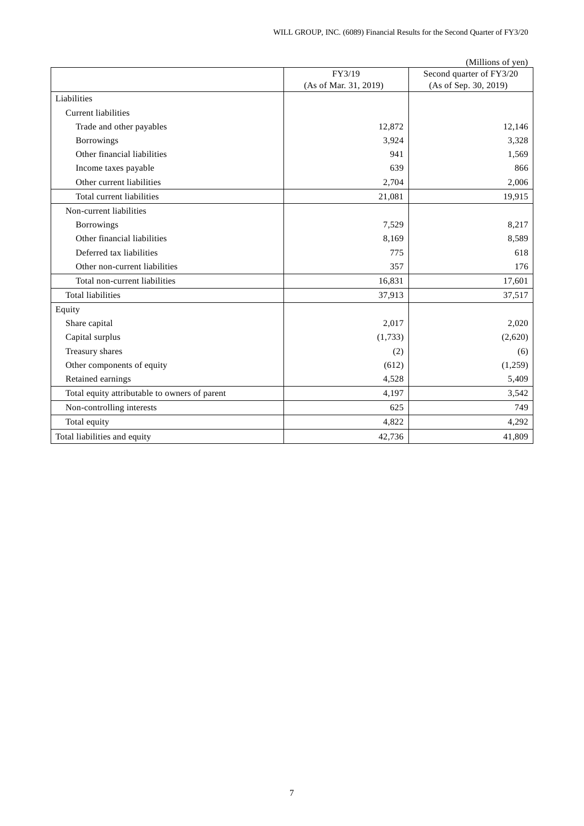|                                               |                       | (Millions of yen)        |
|-----------------------------------------------|-----------------------|--------------------------|
|                                               | FY3/19                | Second quarter of FY3/20 |
|                                               | (As of Mar. 31, 2019) | (As of Sep. 30, 2019)    |
| Liabilities                                   |                       |                          |
| <b>Current liabilities</b>                    |                       |                          |
| Trade and other payables                      | 12,872                | 12,146                   |
| Borrowings                                    | 3,924                 | 3,328                    |
| Other financial liabilities                   | 941                   | 1,569                    |
| Income taxes payable                          | 639                   | 866                      |
| Other current liabilities                     | 2,704                 | 2,006                    |
| Total current liabilities                     | 21,081                | 19,915                   |
| Non-current liabilities                       |                       |                          |
| Borrowings                                    | 7,529                 | 8,217                    |
| Other financial liabilities                   | 8,169                 | 8,589                    |
| Deferred tax liabilities                      | 775                   | 618                      |
| Other non-current liabilities                 | 357                   | 176                      |
| Total non-current liabilities                 | 16,831                | 17,601                   |
| <b>Total liabilities</b>                      | 37,913                | 37,517                   |
| Equity                                        |                       |                          |
| Share capital                                 | 2,017                 | 2,020                    |
| Capital surplus                               | (1,733)               | (2,620)                  |
| Treasury shares                               | (2)                   | (6)                      |
| Other components of equity                    | (612)                 | (1,259)                  |
| Retained earnings                             | 4,528                 | 5,409                    |
| Total equity attributable to owners of parent | 4,197                 | 3,542                    |
| Non-controlling interests                     | 625                   | 749                      |
| Total equity                                  | 4,822                 | 4,292                    |
| Total liabilities and equity                  | 42,736                | 41,809                   |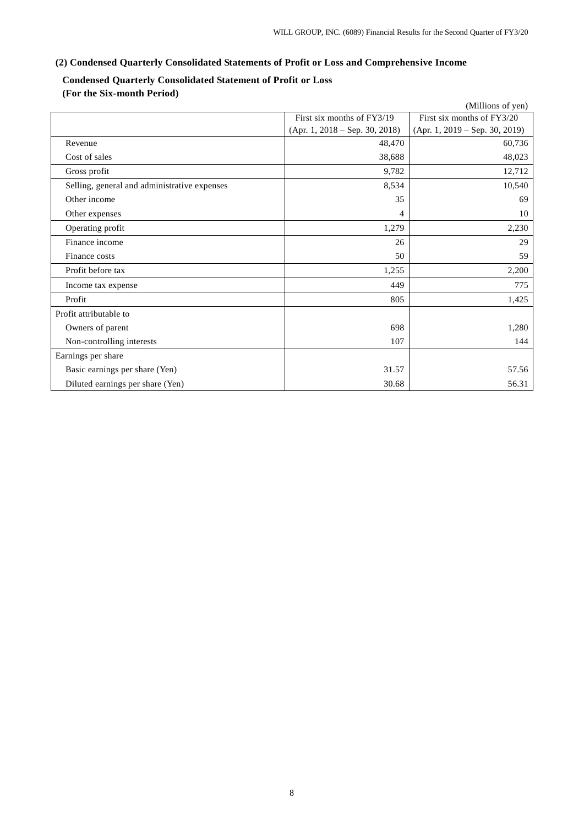# **(2) Condensed Quarterly Consolidated Statements of Profit or Loss and Comprehensive Income**

# **Condensed Quarterly Consolidated Statement of Profit or Loss**

**(For the Six-month Period)**

|                                              |                                  | (Millions of yen)                |
|----------------------------------------------|----------------------------------|----------------------------------|
|                                              | First six months of FY3/19       | First six months of FY3/20       |
|                                              | $(Apr. 1, 2018 - Sep. 30, 2018)$ | $(Apr. 1, 2019 - Sep. 30, 2019)$ |
| Revenue                                      | 48,470                           | 60,736                           |
| Cost of sales                                | 38,688                           | 48,023                           |
| Gross profit                                 | 9,782                            | 12,712                           |
| Selling, general and administrative expenses | 8,534                            | 10,540                           |
| Other income                                 | 35                               | 69                               |
| Other expenses                               | 4                                | 10                               |
| Operating profit                             | 1,279                            | 2,230                            |
| Finance income                               | 26                               | 29                               |
| Finance costs                                | 50                               | 59                               |
| Profit before tax                            | 1,255                            | 2,200                            |
| Income tax expense                           | 449                              | 775                              |
| Profit                                       | 805                              | 1,425                            |
| Profit attributable to                       |                                  |                                  |
| Owners of parent                             | 698                              | 1,280                            |
| Non-controlling interests                    | 107                              | 144                              |
| Earnings per share                           |                                  |                                  |
| Basic earnings per share (Yen)               | 31.57                            | 57.56                            |
| Diluted earnings per share (Yen)             | 30.68                            | 56.31                            |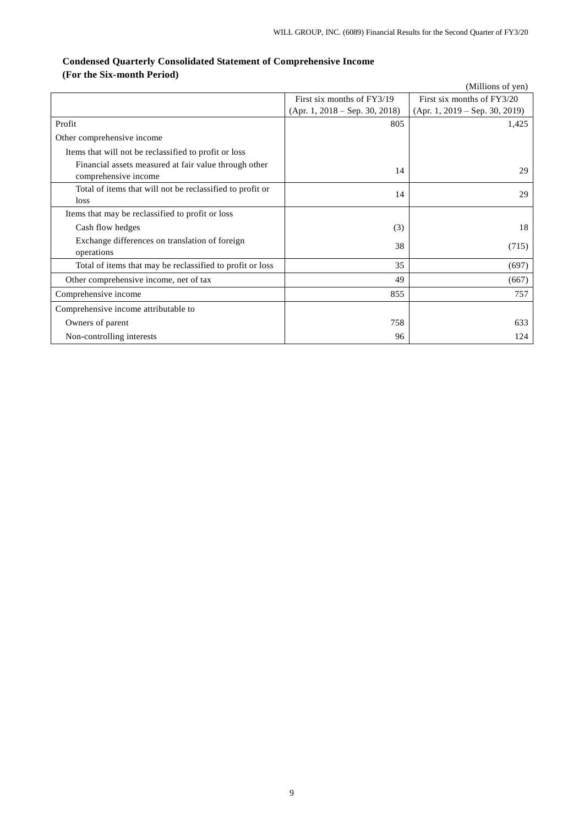# **Condensed Quarterly Consolidated Statement of Comprehensive Income (For the Six-month Period)**

|                                                                               |                                  | (Millions of yen)                |
|-------------------------------------------------------------------------------|----------------------------------|----------------------------------|
|                                                                               | First six months of FY3/19       | First six months of FY3/20       |
|                                                                               | $(Apr. 1, 2018 - Sep. 30, 2018)$ | $(Apr. 1, 2019 - Sep. 30, 2019)$ |
| Profit                                                                        | 805                              | 1,425                            |
| Other comprehensive income                                                    |                                  |                                  |
| Items that will not be reclassified to profit or loss                         |                                  |                                  |
| Financial assets measured at fair value through other<br>comprehensive income | 14                               | 29                               |
| Total of items that will not be reclassified to profit or<br>loss             | 14                               | 29                               |
| Items that may be reclassified to profit or loss                              |                                  |                                  |
| Cash flow hedges                                                              | (3)                              | 18                               |
| Exchange differences on translation of foreign<br>operations                  | 38                               | (715)                            |
| Total of items that may be reclassified to profit or loss                     | 35                               | (697)                            |
| Other comprehensive income, net of tax                                        | 49                               | (667)                            |
| Comprehensive income                                                          | 855                              | 757                              |
| Comprehensive income attributable to                                          |                                  |                                  |
| Owners of parent                                                              | 758                              | 633                              |
| Non-controlling interests                                                     | 96                               | 124                              |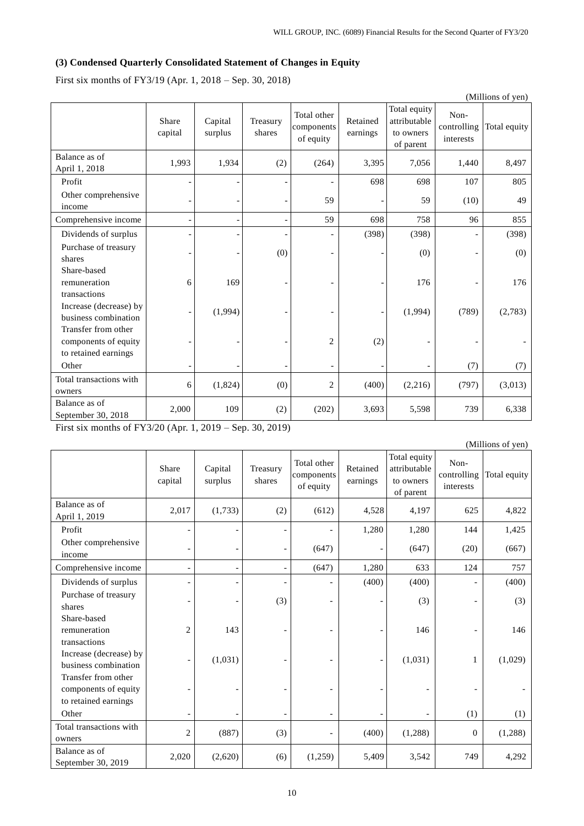# **(3) Condensed Quarterly Consolidated Statement of Changes in Equity**

First six months of FY3/19 (Apr. 1, 2018 – Sep. 30, 2018)

|                                                                     |                  |                    |                          |                                        |                      |                                                        |                                  | (Millions of yen) |
|---------------------------------------------------------------------|------------------|--------------------|--------------------------|----------------------------------------|----------------------|--------------------------------------------------------|----------------------------------|-------------------|
|                                                                     | Share<br>capital | Capital<br>surplus | Treasury<br>shares       | Total other<br>components<br>of equity | Retained<br>earnings | Total equity<br>attributable<br>to owners<br>of parent | Non-<br>controlling<br>interests | Total equity      |
| Balance as of<br>April 1, 2018                                      | 1,993            | 1,934              | (2)                      | (264)                                  | 3,395                | 7,056                                                  | 1,440                            | 8,497             |
| Profit                                                              |                  |                    |                          |                                        | 698                  | 698                                                    | 107                              | 805               |
| Other comprehensive<br>income                                       |                  |                    | $\overline{\phantom{a}}$ | 59                                     |                      | 59                                                     | (10)                             | 49                |
| Comprehensive income                                                |                  |                    |                          | 59                                     | 698                  | 758                                                    | 96                               | 855               |
| Dividends of surplus                                                |                  |                    |                          |                                        | (398)                | (398)                                                  | $\overline{a}$                   | (398)             |
| Purchase of treasury<br>shares                                      |                  |                    | (0)                      | $\overline{\phantom{a}}$               |                      | (0)                                                    | $\overline{\phantom{0}}$         | (0)               |
| Share-based<br>remuneration<br>transactions                         | 6                | 169                |                          | $\overline{a}$                         |                      | 176                                                    | $\qquad \qquad \blacksquare$     | 176               |
| Increase (decrease) by<br>business combination                      |                  | (1,994)            |                          | $\overline{\phantom{a}}$               |                      | (1,994)                                                | (789)                            | (2,783)           |
| Transfer from other<br>components of equity<br>to retained earnings |                  |                    |                          | $\overline{2}$                         | (2)                  |                                                        |                                  |                   |
| Other                                                               |                  |                    |                          | $\overline{a}$                         |                      |                                                        | (7)                              | (7)               |
| Total transactions with<br>owners                                   | 6                | (1,824)            | (0)                      | $\overline{2}$                         | (400)                | (2,216)                                                | (797)                            | (3,013)           |
| Balance as of<br>September 30, 2018                                 | 2,000            | 109                | (2)                      | (202)                                  | 3,693                | 5,598                                                  | 739                              | 6,338             |

First six months of FY3/20 (Apr. 1, 2019 – Sep. 30, 2019)

|                                                                     |                  |                    |                          |                                        |                      |                                                        |                                  | (Millions of yen) |
|---------------------------------------------------------------------|------------------|--------------------|--------------------------|----------------------------------------|----------------------|--------------------------------------------------------|----------------------------------|-------------------|
|                                                                     | Share<br>capital | Capital<br>surplus | Treasury<br>shares       | Total other<br>components<br>of equity | Retained<br>earnings | Total equity<br>attributable<br>to owners<br>of parent | Non-<br>controlling<br>interests | Total equity      |
| Balance as of<br>April 1, 2019                                      | 2,017            | (1,733)            | (2)                      | (612)                                  | 4,528                | 4,197                                                  | 625                              | 4,822             |
| Profit                                                              |                  |                    | $\overline{\phantom{0}}$ |                                        | 1,280                | 1,280                                                  | 144                              | 1,425             |
| Other comprehensive<br>income                                       |                  |                    | $\overline{\phantom{a}}$ | (647)                                  |                      | (647)                                                  | (20)                             | (667)             |
| Comprehensive income                                                | $\overline{a}$   | $\overline{a}$     | $\overline{\phantom{a}}$ | (647)                                  | 1,280                | 633                                                    | 124                              | 757               |
| Dividends of surplus                                                | ٠                |                    | $\overline{\phantom{a}}$ |                                        | (400)                | (400)                                                  | $\blacksquare$                   | (400)             |
| Purchase of treasury<br>shares                                      |                  |                    | (3)                      |                                        |                      | (3)                                                    | $\overline{\phantom{a}}$         | (3)               |
| Share-based<br>remuneration<br>transactions                         | $\overline{2}$   | 143                | $\qquad \qquad -$        |                                        |                      | 146                                                    | $\overline{\phantom{a}}$         | 146               |
| Increase (decrease) by<br>business combination                      | $\overline{a}$   | (1,031)            | $\overline{\phantom{0}}$ | $\blacksquare$                         | $\qquad \qquad -$    | (1,031)                                                | 1                                | (1,029)           |
| Transfer from other<br>components of equity<br>to retained earnings |                  |                    | $\overline{\phantom{0}}$ |                                        |                      |                                                        |                                  |                   |
| Other                                                               |                  |                    | $\qquad \qquad$          |                                        |                      |                                                        | (1)                              | (1)               |
| Total transactions with<br>owners                                   | $\overline{2}$   | (887)              | (3)                      |                                        | (400)                | (1, 288)                                               | $\mathbf{0}$                     | (1,288)           |
| Balance as of<br>September 30, 2019                                 | 2,020            | (2,620)            | (6)                      | (1,259)                                | 5,409                | 3,542                                                  | 749                              | 4,292             |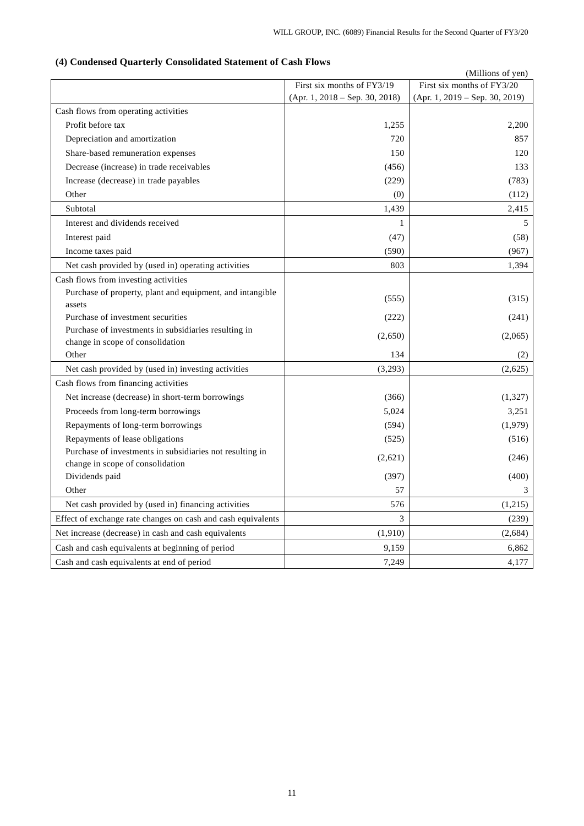|                                                                                              |                                  | (Millions of yen)                |
|----------------------------------------------------------------------------------------------|----------------------------------|----------------------------------|
|                                                                                              | First six months of FY3/19       | First six months of FY3/20       |
|                                                                                              | $(Apr. 1, 2018 - Sep. 30, 2018)$ | $(Apr. 1, 2019 - Sep. 30, 2019)$ |
| Cash flows from operating activities                                                         |                                  |                                  |
| Profit before tax                                                                            | 1,255                            | 2,200                            |
| Depreciation and amortization                                                                | 720                              | 857                              |
| Share-based remuneration expenses                                                            | 150                              | 120                              |
| Decrease (increase) in trade receivables                                                     | (456)                            | 133                              |
| Increase (decrease) in trade payables                                                        | (229)                            | (783)                            |
| Other                                                                                        | (0)                              | (112)                            |
| Subtotal                                                                                     | 1,439                            | 2,415                            |
| Interest and dividends received                                                              | 1                                | 5                                |
| Interest paid                                                                                | (47)                             | (58)                             |
| Income taxes paid                                                                            | (590)                            | (967)                            |
| Net cash provided by (used in) operating activities                                          | 803                              | 1,394                            |
| Cash flows from investing activities                                                         |                                  |                                  |
| Purchase of property, plant and equipment, and intangible<br>assets                          | (555)                            | (315)                            |
| Purchase of investment securities                                                            | (222)                            | (241)                            |
| Purchase of investments in subsidiaries resulting in                                         | (2,650)                          | (2,065)                          |
| change in scope of consolidation                                                             |                                  |                                  |
| Other                                                                                        | 134                              | (2)                              |
| Net cash provided by (used in) investing activities                                          | (3,293)                          | (2,625)                          |
| Cash flows from financing activities                                                         |                                  |                                  |
| Net increase (decrease) in short-term borrowings                                             | (366)                            | (1,327)                          |
| Proceeds from long-term borrowings                                                           | 5,024                            | 3,251                            |
| Repayments of long-term borrowings                                                           | (594)                            | (1,979)                          |
| Repayments of lease obligations                                                              | (525)                            | (516)                            |
| Purchase of investments in subsidiaries not resulting in<br>change in scope of consolidation | (2,621)                          | (246)                            |
| Dividends paid                                                                               | (397)                            | (400)                            |
| Other                                                                                        | 57                               | 3                                |
| Net cash provided by (used in) financing activities                                          | 576                              | (1,215)                          |
| Effect of exchange rate changes on cash and cash equivalents                                 | 3                                | (239)                            |
| Net increase (decrease) in cash and cash equivalents                                         | (1,910)                          | (2,684)                          |
| Cash and cash equivalents at beginning of period                                             | 9,159                            | 6,862                            |
| Cash and cash equivalents at end of period                                                   | 7,249                            | 4,177                            |
|                                                                                              |                                  |                                  |

# **(4) Condensed Quarterly Consolidated Statement of Cash Flows**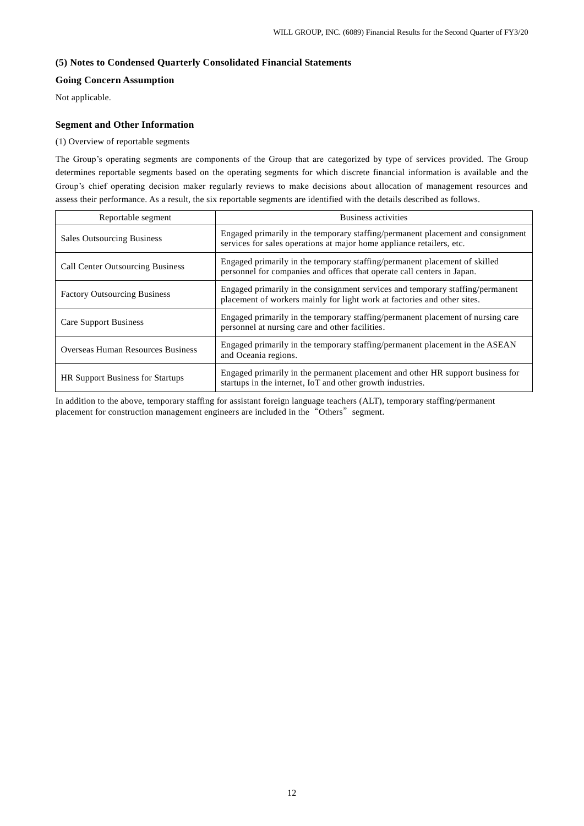### **(5) Notes to Condensed Quarterly Consolidated Financial Statements**

### **Going Concern Assumption**

Not applicable.

#### **Segment and Other Information**

#### (1) Overview of reportable segments

The Group's operating segments are components of the Group that are categorized by type of services provided. The Group determines reportable segments based on the operating segments for which discrete financial information is available and the Group's chief operating decision maker regularly reviews to make decisions about allocation of management resources and assess their performance. As a result, the six reportable segments are identified with the details described as follows.

| Reportable segment                      | Business activities                                                                                                                                        |
|-----------------------------------------|------------------------------------------------------------------------------------------------------------------------------------------------------------|
| <b>Sales Outsourcing Business</b>       | Engaged primarily in the temporary staffing/permanent placement and consignment<br>services for sales operations at major home appliance retailers, etc.   |
| <b>Call Center Outsourcing Business</b> | Engaged primarily in the temporary staffing/permanent placement of skilled<br>personnel for companies and offices that operate call centers in Japan.      |
| <b>Factory Outsourcing Business</b>     | Engaged primarily in the consignment services and temporary staffing/permanent<br>placement of workers mainly for light work at factories and other sites. |
| <b>Care Support Business</b>            | Engaged primarily in the temporary staffing/permanent placement of nursing care<br>personnel at nursing care and other facilities.                         |
| Overseas Human Resources Business       | Engaged primarily in the temporary staffing/permanent placement in the ASEAN<br>and Oceania regions.                                                       |
| <b>HR Support Business for Startups</b> | Engaged primarily in the permanent placement and other HR support business for<br>startups in the internet, IoT and other growth industries.               |

In addition to the above, temporary staffing for assistant foreign language teachers (ALT), temporary staffing/permanent placement for construction management engineers are included in the "Others" segment.